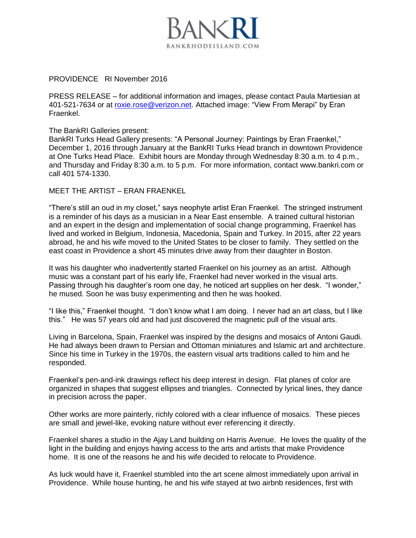

## PROVIDENCE RI November 2016

PRESS RELEASE – for additional information and images, please contact Paula Martiesian at 401-521-7634 or at [roxie.rose@verizon.net.](mailto:roxie.rose@verizon.net) Attached image: "View From Merapi" by Eran Fraenkel.

The BankRI Galleries present:

BankRI Turks Head Gallery presents: "A Personal Journey: Paintings by Eran Fraenkel," December 1, 2016 through January at the BankRI Turks Head branch in downtown Providence at One Turks Head Place. Exhibit hours are Monday through Wednesday 8:30 a.m. to 4 p.m., and Thursday and Friday 8:30 a.m. to 5 p.m. For more information, contact www.bankri.com or call 401 574-1330.

MEET THE ARTIST – ERAN FRAENKEL

"There's still an oud in my closet," says neophyte artist Eran Fraenkel. The stringed instrument is a reminder of his days as a musician in a Near East ensemble. A trained cultural historian and an expert in the design and implementation of social change programming, Fraenkel has lived and worked in Belgium, Indonesia, Macedonia, Spain and Turkey. In 2015, after 22 years abroad, he and his wife moved to the United States to be closer to family. They settled on the east coast in Providence a short 45 minutes drive away from their daughter in Boston.

It was his daughter who inadvertently started Fraenkel on his journey as an artist. Although music was a constant part of his early life, Fraenkel had never worked in the visual arts. Passing through his daughter's room one day, he noticed art supplies on her desk. "I wonder," he mused. Soon he was busy experimenting and then he was hooked.

"I like this," Fraenkel thought. "I don't know what I am doing. I never had an art class, but I like this." He was 57 years old and had just discovered the magnetic pull of the visual arts.

Living in Barcelona, Spain, Fraenkel was inspired by the designs and mosaics of Antoni Gaudi. He had always been drawn to Persian and Ottoman miniatures and Islamic art and architecture. Since his time in Turkey in the 1970s, the eastern visual arts traditions called to him and he responded.

Fraenkel's pen-and-ink drawings reflect his deep interest in design. Flat planes of color are organized in shapes that suggest ellipses and triangles. Connected by lyrical lines, they dance in precision across the paper.

Other works are more painterly, richly colored with a clear influence of mosaics. These pieces are small and jewel-like, evoking nature without ever referencing it directly.

Fraenkel shares a studio in the Ajay Land building on Harris Avenue. He loves the quality of the light in the building and enjoys having access to the arts and artists that make Providence home. It is one of the reasons he and his wife decided to relocate to Providence.

As luck would have it, Fraenkel stumbled into the art scene almost immediately upon arrival in Providence. While house hunting, he and his wife stayed at two airbnb residences, first with